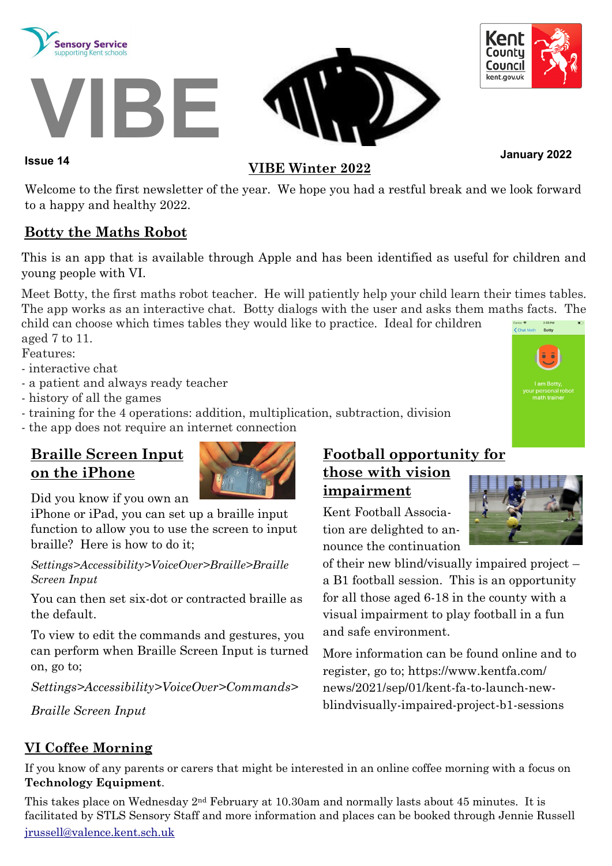





# **January 2022 Issue 14**

#### **VIBE Winter 2022**

Welcome to the first newsletter of the year. We hope you had a restful break and we look forward to a happy and healthy 2022.

#### **Botty the Maths Robot**

This is an app that is available through Apple and has been identified as useful for children and young people with VI.

Meet Botty, the first maths robot teacher. He will patiently help your child learn their times tables. The app works as an interactive chat. Botty dialogs with the user and asks them maths facts. The

child can choose which times tables they would like to practice. Ideal for children aged 7 to 11.

Features:

- interactive chat
- a patient and always ready teacher
- history of all the games
- training for the 4 operations: addition, multiplication, subtraction, division
- the app does not require an internet connection

# **Braille Screen Input on the iPhone**



Did you know if you own an

iPhone or iPad, you can set up a braille input function to allow you to use the screen to input braille? Here is how to do it;

#### *Settings>Accessibility>VoiceOver>Braille>Braille Screen Input*

You can then set six-dot or contracted braille as the default.

To view to edit the commands and gestures, you can perform when Braille Screen Input is turned on, go to;

*Settings>Accessibility>VoiceOver>Commands>*

*Braille Screen Input*

# **Football opportunity for those with vision impairment**

Kent Football Association are delighted to announce the continuation

of their new blind/visually impaired project – a B1 football session. This is an opportunity for all those aged 6-18 in the county with a visual impairment to play football in a fun and safe environment.

More information can be found online and to register, go to; [https://www.kentfa.com/](https://www.kentfa.com/news/2021/sep/01/kent-fa-to-launch-new-blindvisually-impaired-project-b1-sessions) [news/2021/sep/01/kent-fa-to-launch-new](https://www.kentfa.com/news/2021/sep/01/kent-fa-to-launch-new-blindvisually-impaired-project-b1-sessions)[blindvisually-impaired-project-b1-sessions](https://www.kentfa.com/news/2021/sep/01/kent-fa-to-launch-new-blindvisually-impaired-project-b1-sessions)

## **VI Coffee Morning**

If you know of any parents or carers that might be interested in an online coffee morning with a focus on **Technology Equipment**.

This takes place on Wednesday 2nd February at 10.30am and normally lasts about 45 minutes. It is facilitated by STLS Sensory Staff and more information and places can be booked through Jennie Russell [jrussell@valence.kent.sch.uk](mailto:jrussell@valence.kent.sch.uk)